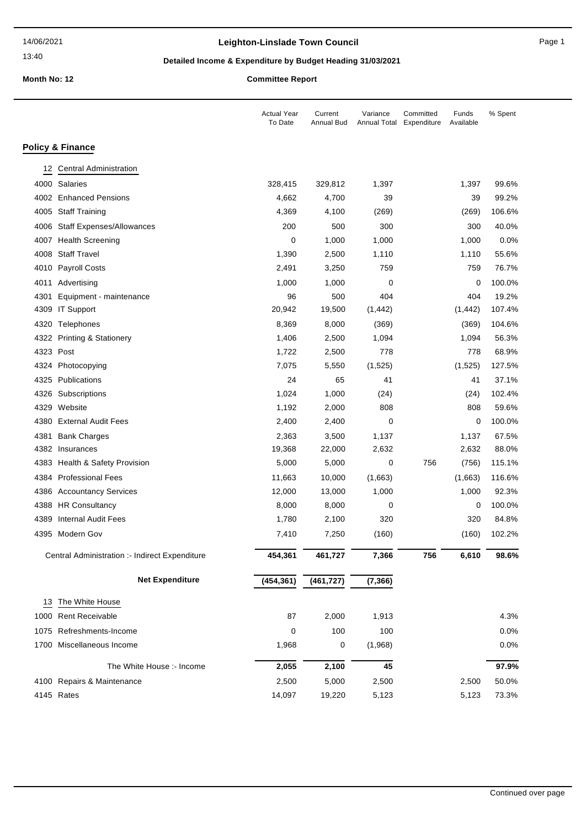### **Leighton-Linslade Town Council Connect Connect Connect Page 1**

### **Detailed Income & Expenditure by Budget Heading 31/03/2021**

|           |                                                | <b>Actual Year</b><br>To Date | Current<br><b>Annual Bud</b> | Variance<br><b>Annual Total</b> | Committed<br>Expenditure | Funds<br>Available | % Spent |
|-----------|------------------------------------------------|-------------------------------|------------------------------|---------------------------------|--------------------------|--------------------|---------|
|           | <b>Policy &amp; Finance</b>                    |                               |                              |                                 |                          |                    |         |
| 12        | Central Administration                         |                               |                              |                                 |                          |                    |         |
|           | 4000 Salaries                                  | 328,415                       | 329,812                      | 1,397                           |                          | 1,397              | 99.6%   |
|           | 4002 Enhanced Pensions                         | 4,662                         | 4,700                        | 39                              |                          | 39                 | 99.2%   |
|           | 4005 Staff Training                            | 4,369                         | 4,100                        | (269)                           |                          | (269)              | 106.6%  |
| 4006      | <b>Staff Expenses/Allowances</b>               | 200                           | 500                          | 300                             |                          | 300                | 40.0%   |
| 4007      | <b>Health Screening</b>                        | 0                             | 1,000                        | 1,000                           |                          | 1,000              | 0.0%    |
| 4008      | <b>Staff Travel</b>                            | 1,390                         | 2,500                        | 1,110                           |                          | 1,110              | 55.6%   |
| 4010      | <b>Payroll Costs</b>                           | 2,491                         | 3,250                        | 759                             |                          | 759                | 76.7%   |
| 4011      | Advertising                                    | 1,000                         | 1,000                        | 0                               |                          | 0                  | 100.0%  |
| 4301      | Equipment - maintenance                        | 96                            | 500                          | 404                             |                          | 404                | 19.2%   |
| 4309      | <b>IT Support</b>                              | 20,942                        | 19,500                       | (1, 442)                        |                          | (1, 442)           | 107.4%  |
| 4320      | Telephones                                     | 8,369                         | 8,000                        | (369)                           |                          | (369)              | 104.6%  |
|           | 4322 Printing & Stationery                     | 1,406                         | 2,500                        | 1,094                           |                          | 1,094              | 56.3%   |
| 4323 Post |                                                | 1,722                         | 2,500                        | 778                             |                          | 778                | 68.9%   |
| 4324      | Photocopying                                   | 7,075                         | 5,550                        | (1, 525)                        |                          | (1,525)            | 127.5%  |
| 4325      | Publications                                   | 24                            | 65                           | 41                              |                          | 41                 | 37.1%   |
|           | 4326 Subscriptions                             | 1,024                         | 1,000                        | (24)                            |                          | (24)               | 102.4%  |
| 4329      | Website                                        | 1,192                         | 2,000                        | 808                             |                          | 808                | 59.6%   |
| 4380      | <b>External Audit Fees</b>                     | 2,400                         | 2,400                        | 0                               |                          | 0                  | 100.0%  |
| 4381      | <b>Bank Charges</b>                            | 2,363                         | 3,500                        | 1,137                           |                          | 1,137              | 67.5%   |
| 4382      | Insurances                                     | 19,368                        | 22,000                       | 2,632                           |                          | 2,632              | 88.0%   |
|           | 4383 Health & Safety Provision                 | 5,000                         | 5,000                        | 0                               | 756                      | (756)              | 115.1%  |
| 4384      | <b>Professional Fees</b>                       | 11,663                        | 10,000                       | (1,663)                         |                          | (1,663)            | 116.6%  |
|           | 4386 Accountancy Services                      | 12,000                        | 13,000                       | 1,000                           |                          | 1,000              | 92.3%   |
|           | 4388 HR Consultancy                            | 8,000                         | 8,000                        | 0                               |                          | 0                  | 100.0%  |
| 4389      | <b>Internal Audit Fees</b>                     | 1,780                         | 2,100                        | 320                             |                          | 320                | 84.8%   |
|           | 4395 Modern Gov                                | 7,410                         | 7,250                        | (160)                           |                          | (160)              | 102.2%  |
|           | Central Administration :- Indirect Expenditure | 454,361                       | 461,727                      | 7,366                           | 756                      | 6,610              | 98.6%   |
|           | <b>Net Expenditure</b>                         | (454, 361)                    | (461, 727)                   | (7, 366)                        |                          |                    |         |
| 13        | The White House                                |                               |                              |                                 |                          |                    |         |
| 1000      | <b>Rent Receivable</b>                         | 87                            | 2,000                        | 1,913                           |                          |                    | 4.3%    |
| 1075      | Refreshments-Income                            | 0                             | 100                          | 100                             |                          |                    | 0.0%    |
|           | 1700 Miscellaneous Income                      | 1,968                         | 0                            | (1,968)                         |                          |                    | 0.0%    |
|           | The White House :- Income                      | 2,055                         | 2,100                        | 45                              |                          |                    | 97.9%   |
|           | 4100 Repairs & Maintenance                     | 2,500                         | 5,000                        | 2,500                           |                          | 2,500              | 50.0%   |
|           | 4145 Rates                                     | 14,097                        | 19,220                       | 5,123                           |                          | 5,123              | 73.3%   |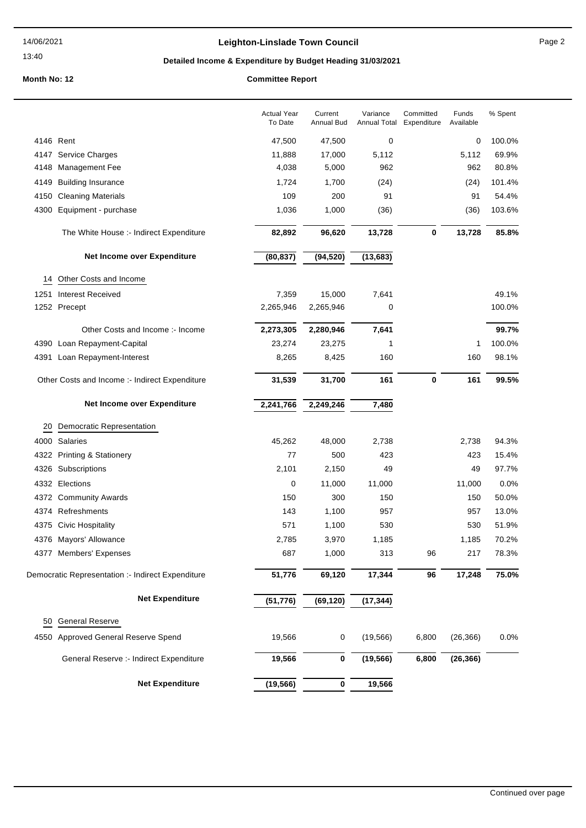### Leighton-Linslade Town Council **Example 2** Page 2

### **Detailed Income & Expenditure by Budget Heading 31/03/2021**

|      |                                                   | <b>Actual Year</b><br>To Date | Current<br>Annual Bud | Variance<br>Annual Total | Committed<br>Expenditure | Funds<br>Available | % Spent |
|------|---------------------------------------------------|-------------------------------|-----------------------|--------------------------|--------------------------|--------------------|---------|
|      | 4146 Rent                                         | 47,500                        | 47,500                | 0                        |                          | 0                  | 100.0%  |
|      | 4147 Service Charges                              | 11,888                        | 17,000                | 5,112                    |                          | 5,112              | 69.9%   |
| 4148 | Management Fee                                    | 4,038                         | 5,000                 | 962                      |                          | 962                | 80.8%   |
| 4149 | <b>Building Insurance</b>                         | 1,724                         | 1,700                 | (24)                     |                          | (24)               | 101.4%  |
| 4150 | <b>Cleaning Materials</b>                         | 109                           | 200                   | 91                       |                          | 91                 | 54.4%   |
| 4300 | Equipment - purchase                              | 1,036                         | 1,000                 | (36)                     |                          | (36)               | 103.6%  |
|      | The White House :- Indirect Expenditure           | 82,892                        | 96,620                | 13,728                   | $\bf{0}$                 | 13,728             | 85.8%   |
|      | Net Income over Expenditure                       | (80, 837)                     | (94, 520)             | (13, 683)                |                          |                    |         |
| 14   | Other Costs and Income                            |                               |                       |                          |                          |                    |         |
| 1251 | <b>Interest Received</b>                          | 7,359                         | 15,000                | 7,641                    |                          |                    | 49.1%   |
|      | 1252 Precept                                      | 2,265,946                     | 2,265,946             | 0                        |                          |                    | 100.0%  |
|      | Other Costs and Income :- Income                  | 2,273,305                     | 2,280,946             | 7,641                    |                          |                    | 99.7%   |
|      | 4390 Loan Repayment-Capital                       | 23,274                        | 23,275                | 1                        |                          | 1                  | 100.0%  |
|      | 4391 Loan Repayment-Interest                      | 8,265                         | 8,425                 | 160                      |                          | 160                | 98.1%   |
|      | Other Costs and Income :- Indirect Expenditure    | 31,539                        | 31,700                | 161                      | $\mathbf 0$              | 161                | 99.5%   |
|      | Net Income over Expenditure                       | 2,241,766                     | 2,249,246             | 7,480                    |                          |                    |         |
| 20   | Democratic Representation                         |                               |                       |                          |                          |                    |         |
| 4000 | <b>Salaries</b>                                   | 45,262                        | 48,000                | 2,738                    |                          | 2,738              | 94.3%   |
| 4322 | <b>Printing &amp; Stationery</b>                  | 77                            | 500                   | 423                      |                          | 423                | 15.4%   |
| 4326 | Subscriptions                                     | 2,101                         | 2,150                 | 49                       |                          | 49                 | 97.7%   |
|      | 4332 Elections                                    | 0                             | 11,000                | 11,000                   |                          | 11,000             | 0.0%    |
| 4372 | <b>Community Awards</b>                           | 150                           | 300                   | 150                      |                          | 150                | 50.0%   |
| 4374 | Refreshments                                      | 143                           | 1,100                 | 957                      |                          | 957                | 13.0%   |
| 4375 |                                                   |                               |                       |                          |                          |                    |         |
|      | <b>Civic Hospitality</b>                          | 571                           | 1,100                 | 530                      |                          | 530                | 51.9%   |
|      | 4376 Mayors' Allowance                            | 2,785                         | 3,970                 | 1,185                    |                          | 1,185              | 70.2%   |
|      | 4377 Members' Expenses                            | 687                           | 1,000                 | 313                      | 96                       | 217                | 78.3%   |
|      | Democratic Representation :- Indirect Expenditure | 51,776                        | 69,120                | 17,344                   | 96                       | 17,248             | 75.0%   |
|      | <b>Net Expenditure</b>                            | (51, 776)                     | (69, 120)             | (17, 344)                |                          |                    |         |
| 50   | <b>General Reserve</b>                            |                               |                       |                          |                          |                    |         |
| 4550 | Approved General Reserve Spend                    | 19,566                        | 0                     | (19, 566)                | 6,800                    | (26, 366)          | 0.0%    |
|      | General Reserve :- Indirect Expenditure           | 19,566                        | 0                     | (19, 566)                | 6,800                    | (26, 366)          |         |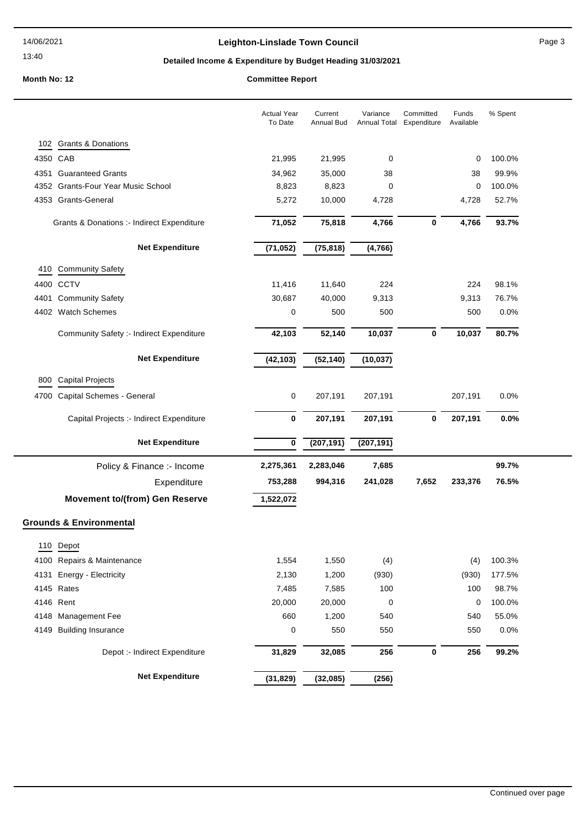14/06/2021

# 13:40

### Leighton-Linslade Town Council **Example 2 and Separate 2 and Page 3**

### **Detailed Income & Expenditure by Budget Heading 31/03/2021**

|          |                                            | <b>Actual Year</b><br>To Date | Current<br>Annual Bud | Variance   | Committed<br>Annual Total Expenditure | Funds<br>Available | % Spent |
|----------|--------------------------------------------|-------------------------------|-----------------------|------------|---------------------------------------|--------------------|---------|
| 102      | <b>Grants &amp; Donations</b>              |                               |                       |            |                                       |                    |         |
| 4350 CAB |                                            | 21,995                        | 21,995                | 0          |                                       | 0                  | 100.0%  |
| 4351     | <b>Guaranteed Grants</b>                   | 34,962                        | 35,000                | 38         |                                       | 38                 | 99.9%   |
| 4352     | <b>Grants-Four Year Music School</b>       | 8,823                         | 8,823                 | 0          |                                       | 0                  | 100.0%  |
|          | 4353 Grants-General                        | 5,272                         | 10,000                | 4,728      |                                       | 4,728              | 52.7%   |
|          | Grants & Donations :- Indirect Expenditure | 71,052                        | 75,818                | 4,766      | 0                                     | 4,766              | 93.7%   |
|          | <b>Net Expenditure</b>                     | (71, 052)                     | (75, 818)             | (4, 766)   |                                       |                    |         |
| 410      | <b>Community Safety</b>                    |                               |                       |            |                                       |                    |         |
|          | 4400 CCTV                                  | 11,416                        | 11,640                | 224        |                                       | 224                | 98.1%   |
| 4401     | <b>Community Safety</b>                    | 30,687                        | 40,000                | 9,313      |                                       | 9,313              | 76.7%   |
| 4402     | <b>Watch Schemes</b>                       | 0                             | 500                   | 500        |                                       | 500                | 0.0%    |
|          | Community Safety :- Indirect Expenditure   | 42,103                        | 52,140                | 10,037     | $\bf{0}$                              | 10,037             | 80.7%   |
|          | <b>Net Expenditure</b>                     | (42, 103)                     | (52, 140)             | (10, 037)  |                                       |                    |         |
| 800      | <b>Capital Projects</b>                    |                               |                       |            |                                       |                    |         |
| 4700     | Capital Schemes - General                  | 0                             | 207,191               | 207,191    |                                       | 207,191            | 0.0%    |
|          | Capital Projects :- Indirect Expenditure   | 0                             | 207,191               | 207,191    | 0                                     | 207,191            | 0.0%    |
|          |                                            |                               |                       |            |                                       |                    |         |
|          | <b>Net Expenditure</b>                     | 0                             | (207, 191)            | (207, 191) |                                       |                    |         |
|          | Policy & Finance :- Income                 | 2,275,361                     | 2,283,046             | 7,685      |                                       |                    | 99.7%   |
|          | Expenditure                                | 753,288                       | 994,316               | 241,028    | 7,652                                 | 233,376            | 76.5%   |
|          | <b>Movement to/(from) Gen Reserve</b>      | 1,522,072                     |                       |            |                                       |                    |         |
|          | <b>Grounds &amp; Environmental</b>         |                               |                       |            |                                       |                    |         |
|          | 110 Depot                                  |                               |                       |            |                                       |                    |         |
|          | 4100 Repairs & Maintenance                 | 1,554                         | 1,550                 | (4)        |                                       | (4)                | 100.3%  |
| 4131     | Energy - Electricity                       | 2,130                         | 1,200                 | (930)      |                                       | (930)              | 177.5%  |
|          | 4145 Rates                                 | 7,485                         | 7,585                 | 100        |                                       | 100                | 98.7%   |
|          | 4146 Rent                                  | 20,000                        | 20,000                | 0          |                                       | 0                  | 100.0%  |
| 4148     | Management Fee                             | 660                           | 1,200                 | 540        |                                       | 540                | 55.0%   |
| 4149     | <b>Building Insurance</b>                  | 0                             | 550                   | 550        |                                       | 550                | 0.0%    |
|          | Depot :- Indirect Expenditure              | 31,829                        | 32,085                | 256        | 0                                     | 256                | 99.2%   |
|          | <b>Net Expenditure</b>                     | (31, 829)                     | (32, 085)             | (256)      |                                       |                    |         |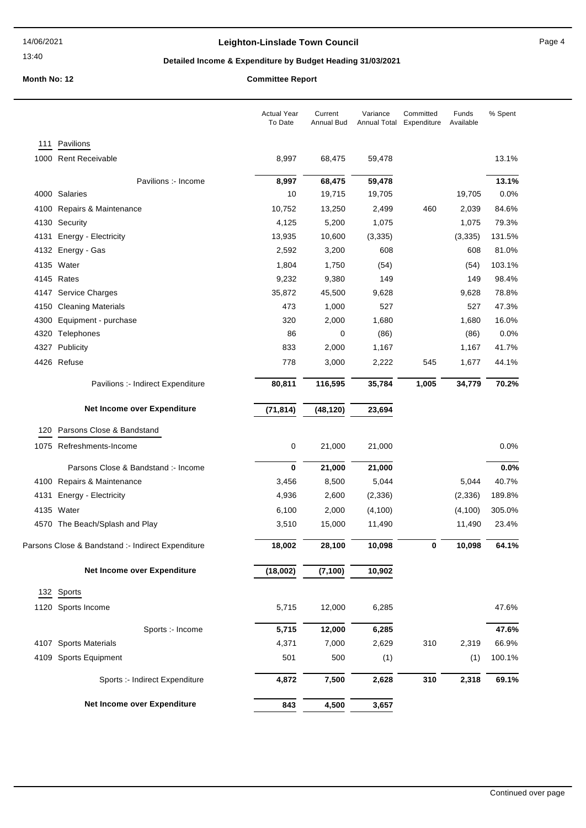### Leighton-Linslade Town Council **Example 2 and Separate 2 and Page 4**

### **Detailed Income & Expenditure by Budget Heading 31/03/2021**

|      |                                                   | <b>Actual Year</b><br>To Date | Current<br>Annual Bud | Variance<br>Annual Total | Committed<br>Expenditure | Funds<br>Available | % Spent |
|------|---------------------------------------------------|-------------------------------|-----------------------|--------------------------|--------------------------|--------------------|---------|
| 111  | Pavilions                                         |                               |                       |                          |                          |                    |         |
|      | 1000 Rent Receivable                              | 8,997                         | 68,475                | 59,478                   |                          |                    | 13.1%   |
|      | Pavilions :- Income                               | 8,997                         | 68,475                | 59,478                   |                          |                    | 13.1%   |
|      | 4000 Salaries                                     | 10                            | 19,715                | 19,705                   |                          | 19,705             | 0.0%    |
|      | 4100 Repairs & Maintenance                        | 10,752                        | 13,250                | 2,499                    | 460                      | 2,039              | 84.6%   |
| 4130 | Security                                          | 4,125                         | 5,200                 | 1,075                    |                          | 1,075              | 79.3%   |
| 4131 | Energy - Electricity                              | 13,935                        | 10,600                | (3, 335)                 |                          | (3, 335)           | 131.5%  |
|      | 4132 Energy - Gas                                 | 2,592                         | 3,200                 | 608                      |                          | 608                | 81.0%   |
|      | 4135 Water                                        | 1,804                         | 1,750                 | (54)                     |                          | (54)               | 103.1%  |
|      | 4145 Rates                                        | 9,232                         | 9,380                 | 149                      |                          | 149                | 98.4%   |
|      | 4147 Service Charges                              | 35,872                        | 45,500                | 9,628                    |                          | 9,628              | 78.8%   |
| 4150 | <b>Cleaning Materials</b>                         | 473                           | 1,000                 | 527                      |                          | 527                | 47.3%   |
| 4300 | Equipment - purchase                              | 320                           | 2,000                 | 1,680                    |                          | 1,680              | 16.0%   |
| 4320 | Telephones                                        | 86                            | 0                     | (86)                     |                          | (86)               | 0.0%    |
| 4327 | Publicity                                         | 833                           | 2,000                 | 1,167                    |                          | 1,167              | 41.7%   |
|      | 4426 Refuse                                       | 778                           | 3,000                 | 2,222                    | 545                      | 1,677              | 44.1%   |
|      | Pavilions :- Indirect Expenditure                 | 80,811                        | 116,595               | 35,784                   | 1,005                    | 34,779             | 70.2%   |
|      | <b>Net Income over Expenditure</b>                | (71, 814)                     | (48, 120)             | 23,694                   |                          |                    |         |
| 120  | Parsons Close & Bandstand                         |                               |                       |                          |                          |                    |         |
|      | 1075 Refreshments-Income                          | 0                             | 21,000                | 21,000                   |                          |                    | 0.0%    |
|      | Parsons Close & Bandstand :- Income               | 0                             | 21,000                | 21,000                   |                          |                    | 0.0%    |
|      | 4100 Repairs & Maintenance                        | 3,456                         | 8,500                 | 5,044                    |                          | 5,044              | 40.7%   |
| 4131 | Energy - Electricity                              | 4,936                         | 2,600                 | (2, 336)                 |                          | (2,336)            | 189.8%  |
|      | 4135 Water                                        | 6,100                         | 2,000                 | (4, 100)                 |                          | (4, 100)           | 305.0%  |
|      | 4570 The Beach/Splash and Play                    | 3,510                         | 15,000                | 11,490                   |                          | 11,490             | 23.4%   |
|      | Parsons Close & Bandstand :- Indirect Expenditure | 18,002                        | 28,100                | 10,098                   | 0                        | 10,098             | 64.1%   |
|      | Net Income over Expenditure                       | (18,002)                      | (7, 100)              | 10,902                   |                          |                    |         |
| 132  | Sports                                            |                               |                       |                          |                          |                    |         |
| 1120 | Sports Income                                     | 5,715                         | 12,000                | 6,285                    |                          |                    | 47.6%   |
|      | Sports :- Income                                  | 5,715                         | 12,000                | 6,285                    |                          |                    | 47.6%   |
|      | 4107 Sports Materials                             | 4,371                         | 7,000                 | 2,629                    | 310                      | 2,319              | 66.9%   |
| 4109 | Sports Equipment                                  | 501                           | 500                   | (1)                      |                          | (1)                | 100.1%  |
|      | Sports :- Indirect Expenditure                    | 4,872                         | 7,500                 | 2,628                    | 310                      | 2,318              | 69.1%   |
|      | Net Income over Expenditure                       | 843                           | 4,500                 | 3,657                    |                          |                    |         |
|      |                                                   |                               |                       |                          |                          |                    |         |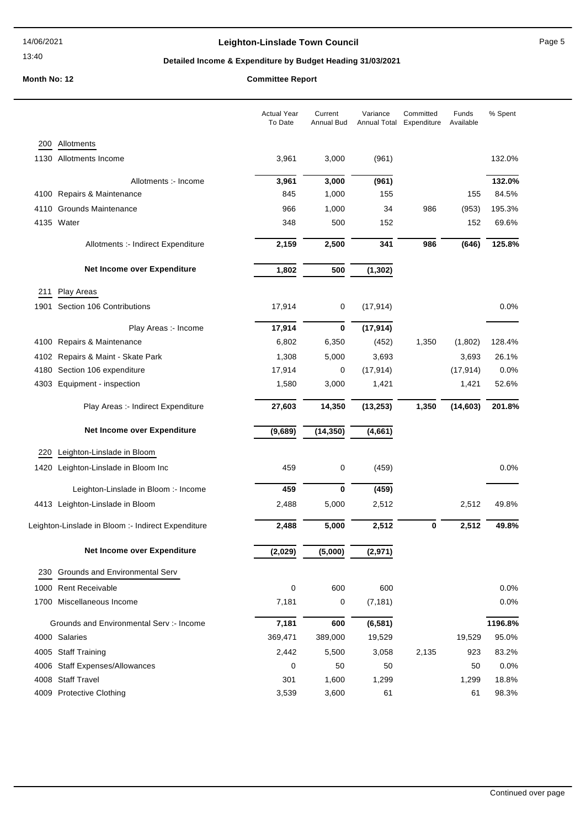### Leighton-Linslade Town Council **Example 20 and Separate Page 5**

### **Detailed Income & Expenditure by Budget Heading 31/03/2021**

|      |                                                    | <b>Actual Year</b><br>To Date | Current<br>Annual Bud | Variance<br>Annual Total | Committed<br>Expenditure | Funds<br>Available | % Spent |
|------|----------------------------------------------------|-------------------------------|-----------------------|--------------------------|--------------------------|--------------------|---------|
| 200  | Allotments                                         |                               |                       |                          |                          |                    |         |
| 1130 | Allotments Income                                  | 3,961                         | 3,000                 | (961)                    |                          |                    | 132.0%  |
|      | Allotments :- Income                               | 3,961                         | 3,000                 | (961)                    |                          |                    | 132.0%  |
|      | 4100 Repairs & Maintenance                         | 845                           | 1,000                 | 155                      |                          | 155                | 84.5%   |
| 4110 | <b>Grounds Maintenance</b>                         | 966                           | 1,000                 | 34                       | 986                      | (953)              | 195.3%  |
|      | 4135 Water                                         | 348                           | 500                   | 152                      |                          | 152                | 69.6%   |
|      | Allotments :- Indirect Expenditure                 | 2,159                         | 2,500                 | 341                      | 986                      | (646)              | 125.8%  |
|      | Net Income over Expenditure                        | 1,802                         | 500                   | (1, 302)                 |                          |                    |         |
| 211  | Play Areas                                         |                               |                       |                          |                          |                    |         |
| 1901 | Section 106 Contributions                          | 17,914                        | 0                     | (17, 914)                |                          |                    | 0.0%    |
|      | Play Areas :- Income                               | 17,914                        | 0                     | (17, 914)                |                          |                    |         |
|      | 4100 Repairs & Maintenance                         | 6,802                         | 6,350                 | (452)                    | 1,350                    | (1,802)            | 128.4%  |
|      | 4102 Repairs & Maint - Skate Park                  | 1,308                         | 5,000                 | 3,693                    |                          | 3,693              | 26.1%   |
| 4180 | Section 106 expenditure                            | 17,914                        | 0                     | (17, 914)                |                          | (17, 914)          | 0.0%    |
|      | 4303 Equipment - inspection                        | 1,580                         | 3,000                 | 1,421                    |                          | 1,421              | 52.6%   |
|      | Play Areas :- Indirect Expenditure                 | 27,603                        | 14,350                | (13, 253)                | 1,350                    | (14, 603)          | 201.8%  |
|      | Net Income over Expenditure                        | (9,689)                       | (14, 350)             | (4,661)                  |                          |                    |         |
| 220  | Leighton-Linslade in Bloom                         |                               |                       |                          |                          |                    |         |
|      | 1420 Leighton-Linslade in Bloom Inc                | 459                           | 0                     | (459)                    |                          |                    | 0.0%    |
|      | Leighton-Linslade in Bloom :- Income               | 459                           | $\bf{0}$              | (459)                    |                          |                    |         |
|      | 4413 Leighton-Linslade in Bloom                    | 2,488                         | 5,000                 | 2,512                    |                          | 2,512              | 49.8%   |
|      | Leighton-Linslade in Bloom :- Indirect Expenditure | 2,488                         | 5,000                 | 2,512                    | 0                        | 2,512              | 49.8%   |
|      | Net Income over Expenditure                        | (2,029)                       | (5,000)               | (2,971)                  |                          |                    |         |
|      | 230 Grounds and Environmental Serv                 |                               |                       |                          |                          |                    |         |
|      | 1000 Rent Receivable                               | 0                             | 600                   | 600                      |                          |                    | 0.0%    |
|      | 1700 Miscellaneous Income                          | 7,181                         | 0                     | (7, 181)                 |                          |                    | 0.0%    |
|      | Grounds and Environmental Serv :- Income           | 7,181                         | 600                   | (6, 581)                 |                          |                    | 1196.8% |
|      | 4000 Salaries                                      | 369,471                       | 389,000               | 19,529                   |                          | 19,529             | 95.0%   |
|      | 4005 Staff Training                                | 2,442                         | 5,500                 | 3,058                    | 2,135                    | 923                | 83.2%   |
|      | 4006 Staff Expenses/Allowances                     | 0                             | 50                    | 50                       |                          | 50                 | 0.0%    |
| 4008 | <b>Staff Travel</b>                                | 301                           | 1,600                 | 1,299                    |                          | 1,299              | 18.8%   |
|      | 4009 Protective Clothing                           | 3,539                         | 3,600                 | 61                       |                          | 61                 | 98.3%   |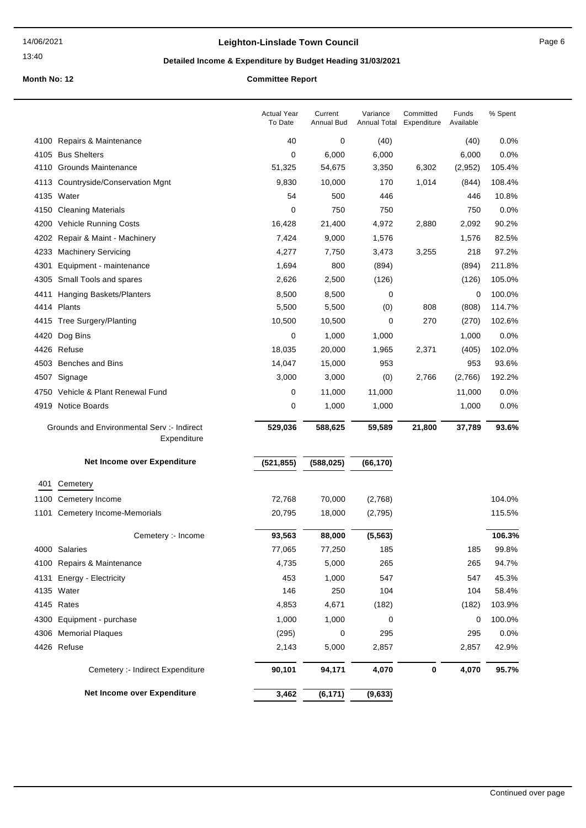### Leighton-Linslade Town Council **Example 20 and Separate Page 6**

### **Detailed Income & Expenditure by Budget Heading 31/03/2021**

|      |                                                           | <b>Actual Year</b><br>To Date | Current<br><b>Annual Bud</b> | Variance<br>Annual Total | Committed<br>Expenditure | Funds<br>Available | % Spent |
|------|-----------------------------------------------------------|-------------------------------|------------------------------|--------------------------|--------------------------|--------------------|---------|
|      | 4100 Repairs & Maintenance                                | 40                            | 0                            | (40)                     |                          | (40)               | 0.0%    |
|      | 4105 Bus Shelters                                         | 0                             | 6,000                        | 6,000                    |                          | 6,000              | 0.0%    |
|      | 4110 Grounds Maintenance                                  | 51,325                        | 54,675                       | 3,350                    | 6,302                    | (2,952)            | 105.4%  |
|      | 4113 Countryside/Conservation Mgnt                        | 9,830                         | 10,000                       | 170                      | 1,014                    | (844)              | 108.4%  |
|      | 4135 Water                                                | 54                            | 500                          | 446                      |                          | 446                | 10.8%   |
|      | 4150 Cleaning Materials                                   | 0                             | 750                          | 750                      |                          | 750                | 0.0%    |
| 4200 | <b>Vehicle Running Costs</b>                              | 16,428                        | 21,400                       | 4,972                    | 2,880                    | 2,092              | 90.2%   |
| 4202 | Repair & Maint - Machinery                                | 7.424                         | 9,000                        | 1,576                    |                          | 1,576              | 82.5%   |
|      | 4233 Machinery Servicing                                  | 4,277                         | 7,750                        | 3,473                    | 3,255                    | 218                | 97.2%   |
| 4301 | Equipment - maintenance                                   | 1,694                         | 800                          | (894)                    |                          | (894)              | 211.8%  |
|      | 4305 Small Tools and spares                               | 2,626                         | 2,500                        | (126)                    |                          | (126)              | 105.0%  |
| 4411 | Hanging Baskets/Planters                                  | 8,500                         | 8,500                        | 0                        |                          | 0                  | 100.0%  |
| 4414 | Plants                                                    | 5,500                         | 5,500                        | (0)                      | 808                      | (808)              | 114.7%  |
|      | 4415 Tree Surgery/Planting                                | 10,500                        | 10,500                       | 0                        | 270                      | (270)              | 102.6%  |
| 4420 | Dog Bins                                                  | 0                             | 1,000                        | 1,000                    |                          | 1,000              | 0.0%    |
|      | 4426 Refuse                                               | 18,035                        | 20,000                       | 1,965                    | 2,371                    | (405)              | 102.0%  |
|      | 4503 Benches and Bins                                     | 14,047                        | 15,000                       | 953                      |                          | 953                | 93.6%   |
|      | 4507 Signage                                              | 3,000                         | 3,000                        | (0)                      | 2,766                    | (2,766)            | 192.2%  |
|      | 4750 Vehicle & Plant Renewal Fund                         | 0                             | 11,000                       | 11,000                   |                          | 11,000             | 0.0%    |
|      | 4919 Notice Boards                                        | 0                             | 1,000                        | 1,000                    |                          | 1,000              | 0.0%    |
|      | Grounds and Environmental Serv :- Indirect<br>Expenditure | 529,036                       | 588,625                      | 59,589                   | 21,800                   | 37,789             | 93.6%   |
|      | Net Income over Expenditure                               | (521, 855)                    | (588, 025)                   | (66,170)                 |                          |                    |         |
| 401  | Cemetery                                                  |                               |                              |                          |                          |                    |         |
|      | 1100 Cemetery Income                                      | 72,768                        | 70,000                       | (2,768)                  |                          |                    | 104.0%  |
|      | 1101 Cemetery Income-Memorials                            | 20,795                        | 18,000                       | (2,795)                  |                          |                    | 115.5%  |
|      | Cemetery :- Income                                        | 93,563                        | 88,000                       | (5, 563)                 |                          |                    | 106.3%  |
|      | 4000 Salaries                                             | 77,065                        | 77,250                       | 185                      |                          | 185                | 99.8%   |
|      | 4100 Repairs & Maintenance                                | 4,735                         | 5,000                        | 265                      |                          | 265                | 94.7%   |
|      | 4131 Energy - Electricity                                 | 453                           | 1,000                        | 547                      |                          | 547                | 45.3%   |
|      | 4135 Water                                                | 146                           | 250                          | 104                      |                          | 104                | 58.4%   |
|      | 4145 Rates                                                | 4,853                         | 4,671                        | (182)                    |                          | (182)              | 103.9%  |
|      | 4300 Equipment - purchase                                 | 1,000                         | 1,000                        | 0                        |                          | 0                  | 100.0%  |
|      | 4306 Memorial Plaques                                     | (295)                         | 0                            | 295                      |                          | 295                | 0.0%    |
|      | 4426 Refuse                                               | 2,143                         | 5,000                        | 2,857                    |                          | 2,857              | 42.9%   |
|      | Cemetery :- Indirect Expenditure                          | 90,101                        | 94,171                       | 4,070                    | 0                        | 4,070              | 95.7%   |
|      | Net Income over Expenditure                               | 3,462                         | (6, 171)                     | (9,633)                  |                          |                    |         |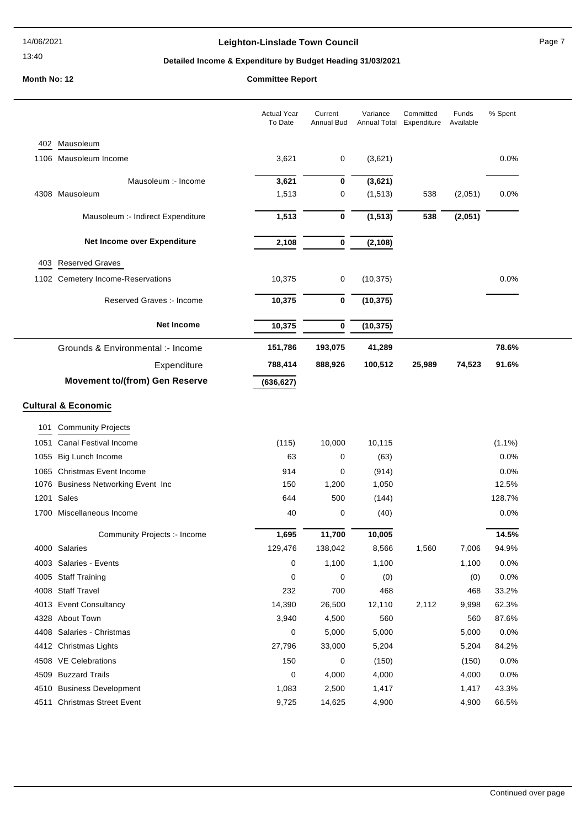## Leighton-Linslade Town Council **Example 2 and Separate Page 7** Page 7

### **Detailed Income & Expenditure by Budget Heading 31/03/2021**

|      |                                       | <b>Actual Year</b><br>To Date | Current<br>Annual Bud | Variance<br>Annual Total Expenditure | Committed | Funds<br>Available | % Spent   |  |
|------|---------------------------------------|-------------------------------|-----------------------|--------------------------------------|-----------|--------------------|-----------|--|
| 402  | Mausoleum                             |                               |                       |                                      |           |                    |           |  |
|      | 1106 Mausoleum Income                 | 3,621                         | 0                     | (3,621)                              |           |                    | 0.0%      |  |
|      | Mausoleum :- Income                   | 3,621                         | 0                     | (3,621)                              |           |                    |           |  |
|      | 4308 Mausoleum                        | 1,513                         | 0                     | (1, 513)                             | 538       | (2,051)            | $0.0\%$   |  |
|      | Mausoleum :- Indirect Expenditure     | 1,513                         | 0                     | (1, 513)                             | 538       | (2,051)            |           |  |
|      | Net Income over Expenditure           | 2,108                         | 0                     | (2, 108)                             |           |                    |           |  |
| 403  | <b>Reserved Graves</b>                |                               |                       |                                      |           |                    |           |  |
|      | 1102 Cemetery Income-Reservations     | 10,375                        | 0                     | (10, 375)                            |           |                    | 0.0%      |  |
|      | Reserved Graves :- Income             | 10,375                        | 0                     | (10, 375)                            |           |                    |           |  |
|      | <b>Net Income</b>                     | 10,375                        | 0                     | (10, 375)                            |           |                    |           |  |
|      | Grounds & Environmental :- Income     | 151,786                       | 193,075               | 41,289                               |           |                    | 78.6%     |  |
|      | Expenditure                           | 788,414                       | 888,926               | 100,512                              | 25,989    | 74,523             | 91.6%     |  |
|      | <b>Movement to/(from) Gen Reserve</b> | (636, 627)                    |                       |                                      |           |                    |           |  |
|      | <b>Cultural &amp; Economic</b>        |                               |                       |                                      |           |                    |           |  |
| 101  | <b>Community Projects</b>             |                               |                       |                                      |           |                    |           |  |
| 1051 | Canal Festival Income                 | (115)                         | 10,000                | 10,115                               |           |                    | $(1.1\%)$ |  |
| 1055 | <b>Big Lunch Income</b>               | 63                            | 0                     | (63)                                 |           |                    | 0.0%      |  |
|      | 1065 Christmas Event Income           | 914                           | 0                     | (914)                                |           |                    | 0.0%      |  |
|      | 1076 Business Networking Event Inc    | 150                           | 1,200                 | 1,050                                |           |                    | 12.5%     |  |
| 1201 | Sales                                 | 644                           | 500                   | (144)                                |           |                    | 128.7%    |  |
|      | 1700 Miscellaneous Income             | 40                            | 0                     | (40)                                 |           |                    | 0.0%      |  |
|      | Community Projects :- Income          | 1,695                         | 11,700                | 10,005                               |           |                    | 14.5%     |  |
|      | 4000 Salaries                         | 129,476                       | 138,042               | 8,566                                | 1,560     | 7,006              | 94.9%     |  |
|      | 4003 Salaries - Events                | 0                             | 1,100                 | 1,100                                |           | 1,100              | 0.0%      |  |
|      | 4005 Staff Training                   | 0                             | 0                     | (0)                                  |           | (0)                | 0.0%      |  |
|      | 4008 Staff Travel                     | 232                           | 700                   | 468                                  |           | 468                | 33.2%     |  |
|      | 4013 Event Consultancy                | 14,390                        | 26,500                | 12,110                               | 2,112     | 9,998              | 62.3%     |  |
|      | 4328 About Town                       | 3,940                         | 4,500                 | 560                                  |           | 560                | 87.6%     |  |
|      | 4408 Salaries - Christmas             | 0                             | 5,000                 | 5,000                                |           | 5,000              | 0.0%      |  |
|      | 4412 Christmas Lights                 | 27,796                        | 33,000                | 5,204                                |           | 5,204              | 84.2%     |  |
|      | 4508 VE Celebrations                  | 150                           | 0                     | (150)                                |           | (150)              | 0.0%      |  |
|      | 4509 Buzzard Trails                   | 0                             | 4,000                 | 4,000                                |           | 4,000              | 0.0%      |  |
|      | 4510 Business Development             | 1,083                         | 2,500                 | 1,417                                |           | 1,417              | 43.3%     |  |
|      | 4511 Christmas Street Event           | 9,725                         | 14,625                | 4,900                                |           | 4,900              | 66.5%     |  |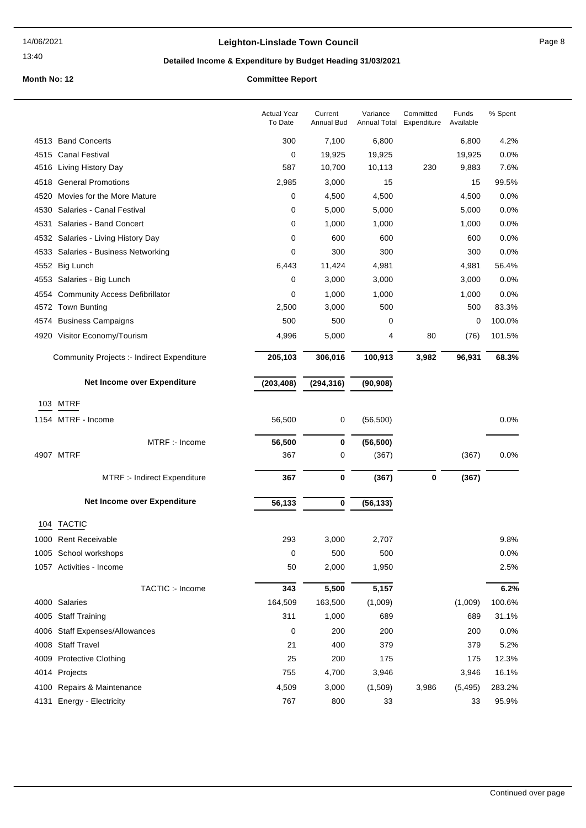### Leighton-Linslade Town Council **Example 2 and Separate Page 8**

### **Detailed Income & Expenditure by Budget Heading 31/03/2021**

|      |                                            | <b>Actual Year</b><br>To Date | Current<br><b>Annual Bud</b> | Variance<br><b>Annual Total</b> | Committed<br>Expenditure | Funds<br>Available | % Spent |
|------|--------------------------------------------|-------------------------------|------------------------------|---------------------------------|--------------------------|--------------------|---------|
|      | 4513 Band Concerts                         | 300                           | 7,100                        | 6,800                           |                          | 6,800              | 4.2%    |
|      | 4515 Canal Festival                        | 0                             | 19,925                       | 19,925                          |                          | 19,925             | 0.0%    |
|      | 4516 Living History Day                    | 587                           | 10,700                       | 10,113                          | 230                      | 9,883              | 7.6%    |
| 4518 | <b>General Promotions</b>                  | 2,985                         | 3,000                        | 15                              |                          | 15                 | 99.5%   |
| 4520 | Movies for the More Mature                 | 0                             | 4,500                        | 4,500                           |                          | 4,500              | 0.0%    |
|      | 4530 Salaries - Canal Festival             | 0                             | 5,000                        | 5,000                           |                          | 5,000              | 0.0%    |
| 4531 | Salaries - Band Concert                    | 0                             | 1,000                        | 1,000                           |                          | 1,000              | 0.0%    |
|      | 4532 Salaries - Living History Day         | 0                             | 600                          | 600                             |                          | 600                | 0.0%    |
| 4533 | Salaries - Business Networking             | 0                             | 300                          | 300                             |                          | 300                | 0.0%    |
| 4552 | Big Lunch                                  | 6,443                         | 11,424                       | 4,981                           |                          | 4,981              | 56.4%   |
| 4553 | Salaries - Big Lunch                       | 0                             | 3,000                        | 3,000                           |                          | 3,000              | 0.0%    |
| 4554 | <b>Community Access Defibrillator</b>      | 0                             | 1,000                        | 1,000                           |                          | 1,000              | 0.0%    |
|      | 4572 Town Bunting                          | 2,500                         | 3,000                        | 500                             |                          | 500                | 83.3%   |
|      | 4574 Business Campaigns                    | 500                           | 500                          | 0                               |                          | 0                  | 100.0%  |
|      | 4920 Visitor Economy/Tourism               | 4,996                         | 5,000                        | 4                               | 80                       | (76)               | 101.5%  |
|      | Community Projects :- Indirect Expenditure | 205,103                       | 306,016                      | 100,913                         | 3,982                    | 96,931             | 68.3%   |
|      | Net Income over Expenditure                | (203, 408)                    | (294, 316)                   | (90, 908)                       |                          |                    |         |
|      | 103 MTRF                                   |                               |                              |                                 |                          |                    |         |
|      | 1154 MTRF - Income                         | 56,500                        | 0                            | (56, 500)                       |                          |                    | 0.0%    |
|      | MTRF :- Income                             | 56,500                        | 0                            | (56, 500)                       |                          |                    |         |
|      | 4907 MTRF                                  | 367                           | 0                            | (367)                           |                          | (367)              | 0.0%    |
|      | <b>MTRF :- Indirect Expenditure</b>        | 367                           | 0                            | (367)                           | $\mathbf 0$              | (367)              |         |
|      | Net Income over Expenditure                | 56,133                        | 0                            | (56, 133)                       |                          |                    |         |
| 104  | <b>TACTIC</b>                              |                               |                              |                                 |                          |                    |         |
|      | 1000 Rent Receivable                       | 293                           | 3,000                        | 2,707                           |                          |                    | 9.8%    |
|      | 1005 School workshops                      | 0                             | 500                          | 500                             |                          |                    | 0.0%    |
|      | 1057 Activities - Income                   | 50                            | 2,000                        | 1,950                           |                          |                    | 2.5%    |
|      | TACTIC :- Income                           | 343                           | 5,500                        | 5,157                           |                          |                    | 6.2%    |
|      | 4000 Salaries                              | 164,509                       | 163,500                      | (1,009)                         |                          | (1,009)            | 100.6%  |
|      | 4005 Staff Training                        | 311                           | 1,000                        | 689                             |                          | 689                | 31.1%   |
|      | 4006 Staff Expenses/Allowances             | 0                             | 200                          | 200                             |                          | 200                | 0.0%    |
|      | 4008 Staff Travel                          | 21                            | 400                          | 379                             |                          | 379                | 5.2%    |
|      | 4009 Protective Clothing                   | 25                            | 200                          | 175                             |                          | 175                | 12.3%   |
|      | 4014 Projects                              | 755                           | 4,700                        | 3,946                           |                          | 3,946              | 16.1%   |
|      | 4100 Repairs & Maintenance                 | 4,509                         | 3,000                        | (1,509)                         | 3,986                    | (5, 495)           | 283.2%  |
|      | 4131 Energy - Electricity                  | 767                           | 800                          | 33                              |                          | 33                 | 95.9%   |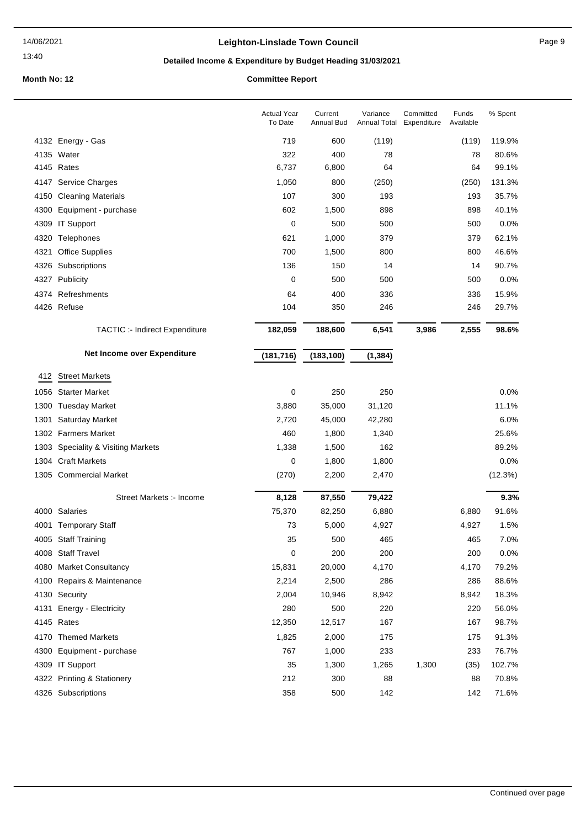### Leighton-Linslade Town Council **Example 20 and Separate Page 9**

### **Detailed Income & Expenditure by Budget Heading 31/03/2021**

|      |                                       | <b>Actual Year</b><br>To Date | Current<br>Annual Bud | Variance<br>Annual Total | Committed<br>Expenditure | Funds<br>Available | % Spent |  |
|------|---------------------------------------|-------------------------------|-----------------------|--------------------------|--------------------------|--------------------|---------|--|
|      | 4132 Energy - Gas                     | 719                           | 600                   | (119)                    |                          | (119)              | 119.9%  |  |
|      | 4135 Water                            | 322                           | 400                   | 78                       |                          | 78                 | 80.6%   |  |
|      | 4145 Rates                            | 6,737                         | 6,800                 | 64                       |                          | 64                 | 99.1%   |  |
| 4147 | <b>Service Charges</b>                | 1,050                         | 800                   | (250)                    |                          | (250)              | 131.3%  |  |
| 4150 | <b>Cleaning Materials</b>             | 107                           | 300                   | 193                      |                          | 193                | 35.7%   |  |
| 4300 | Equipment - purchase                  | 602                           | 1,500                 | 898                      |                          | 898                | 40.1%   |  |
| 4309 | <b>IT Support</b>                     | 0                             | 500                   | 500                      |                          | 500                | 0.0%    |  |
| 4320 | Telephones                            | 621                           | 1,000                 | 379                      |                          | 379                | 62.1%   |  |
| 4321 | <b>Office Supplies</b>                | 700                           | 1,500                 | 800                      |                          | 800                | 46.6%   |  |
| 4326 | Subscriptions                         | 136                           | 150                   | 14                       |                          | 14                 | 90.7%   |  |
| 4327 | Publicity                             | 0                             | 500                   | 500                      |                          | 500                | 0.0%    |  |
|      | 4374 Refreshments                     | 64                            | 400                   | 336                      |                          | 336                | 15.9%   |  |
|      | 4426 Refuse                           | 104                           | 350                   | 246                      |                          | 246                | 29.7%   |  |
|      | <b>TACTIC :- Indirect Expenditure</b> | 182,059                       | 188,600               | 6,541                    | 3,986                    | 2,555              | 98.6%   |  |
|      | Net Income over Expenditure           | (181, 716)                    | (183, 100)            | (1, 384)                 |                          |                    |         |  |
| 412  | <b>Street Markets</b>                 |                               |                       |                          |                          |                    |         |  |
| 1056 | <b>Starter Market</b>                 | 0                             | 250                   | 250                      |                          |                    | 0.0%    |  |
|      | 1300 Tuesday Market                   | 3,880                         | 35,000                | 31,120                   |                          |                    | 11.1%   |  |
| 1301 | Saturday Market                       | 2,720                         | 45,000                | 42,280                   |                          |                    | 6.0%    |  |
|      | 1302 Farmers Market                   | 460                           | 1,800                 | 1,340                    |                          |                    | 25.6%   |  |
|      | 1303 Speciality & Visiting Markets    | 1,338                         | 1,500                 | 162                      |                          |                    | 89.2%   |  |
|      | 1304 Craft Markets                    | 0                             | 1,800                 | 1,800                    |                          |                    | 0.0%    |  |
|      | 1305 Commercial Market                | (270)                         | 2,200                 | 2,470                    |                          |                    | (12.3%) |  |
|      | Street Markets :- Income              | 8,128                         | 87,550                | 79,422                   |                          |                    | 9.3%    |  |
| 4000 | Salaries                              | 75,370                        | 82,250                | 6,880                    |                          | 6,880              | 91.6%   |  |
| 4001 | <b>Temporary Staff</b>                | 73                            | 5,000                 | 4,927                    |                          | 4,927              | 1.5%    |  |
|      | 4005 Staff Training                   | 35                            | 500                   | 465                      |                          | 465                | 7.0%    |  |
|      | 4008 Staff Travel                     | 0                             | 200                   | 200                      |                          | 200                | 0.0%    |  |
| 4080 | <b>Market Consultancy</b>             | 15,831                        | 20,000                | 4,170                    |                          | 4,170              | 79.2%   |  |
|      | 4100 Repairs & Maintenance            | 2,214                         | 2,500                 | 286                      |                          | 286                | 88.6%   |  |
|      | 4130 Security                         | 2,004                         | 10,946                | 8,942                    |                          | 8,942              | 18.3%   |  |
| 4131 | Energy - Electricity                  | 280                           | 500                   | 220                      |                          | 220                | 56.0%   |  |
|      | 4145 Rates                            | 12,350                        | 12,517                | 167                      |                          | 167                | 98.7%   |  |
|      | 4170 Themed Markets                   | 1,825                         | 2,000                 | 175                      |                          | 175                | 91.3%   |  |
|      | 4300 Equipment - purchase             | 767                           | 1,000                 | 233                      |                          | 233                | 76.7%   |  |
|      | 4309 IT Support                       | 35                            | 1,300                 | 1,265                    | 1,300                    | (35)               | 102.7%  |  |
|      | 4322 Printing & Stationery            | 212                           | 300                   | 88                       |                          | 88                 | 70.8%   |  |
|      | 4326 Subscriptions                    | 358                           | 500                   | 142                      |                          | 142                | 71.6%   |  |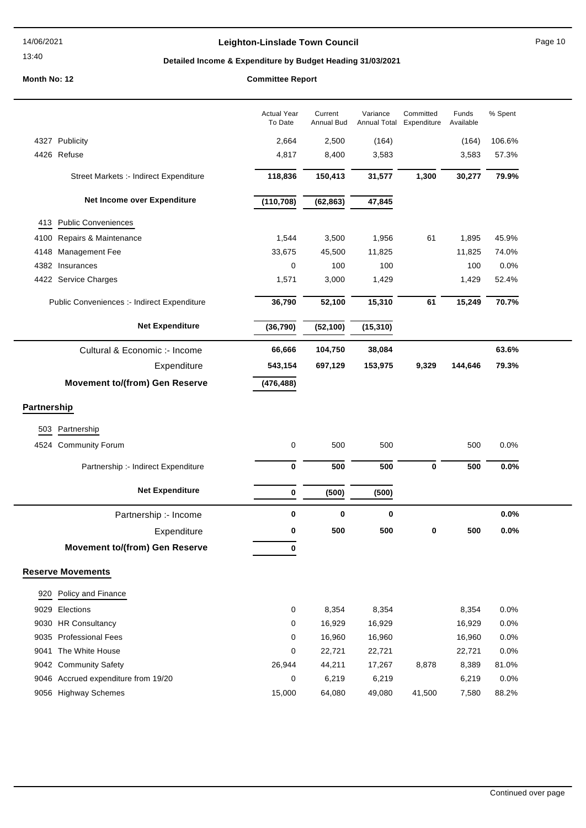### Leighton-Linslade Town Council **Page 10** Page 10

### **Detailed Income & Expenditure by Budget Heading 31/03/2021**

|             |                                             | <b>Actual Year</b><br>To Date | Current    | Variance     | Committed   | Funds     | % Spent |
|-------------|---------------------------------------------|-------------------------------|------------|--------------|-------------|-----------|---------|
|             |                                             |                               | Annual Bud | Annual Total | Expenditure | Available |         |
|             | 4327 Publicity                              | 2,664                         | 2,500      | (164)        |             | (164)     | 106.6%  |
|             | 4426 Refuse                                 | 4,817                         | 8,400      | 3,583        |             | 3,583     | 57.3%   |
|             | Street Markets :- Indirect Expenditure      | 118,836                       | 150,413    | 31,577       | 1,300       | 30,277    | 79.9%   |
|             | Net Income over Expenditure                 | (110, 708)                    | (62, 863)  | 47,845       |             |           |         |
| 413         | <b>Public Conveniences</b>                  |                               |            |              |             |           |         |
| 4100        | Repairs & Maintenance                       | 1,544                         | 3,500      | 1,956        | 61          | 1,895     | 45.9%   |
| 4148        | Management Fee                              | 33,675                        | 45,500     | 11,825       |             | 11,825    | 74.0%   |
|             | 4382 Insurances                             | 0                             | 100        | 100          |             | 100       | 0.0%    |
|             | 4422 Service Charges                        | 1,571                         | 3,000      | 1,429        |             | 1,429     | 52.4%   |
|             | Public Conveniences :- Indirect Expenditure | 36,790                        | 52,100     | 15,310       | 61          | 15,249    | 70.7%   |
|             | <b>Net Expenditure</b>                      | (36, 790)                     | (52, 100)  | (15, 310)    |             |           |         |
|             | Cultural & Economic :- Income               | 66,666                        | 104,750    | 38,084       |             |           | 63.6%   |
|             | Expenditure                                 | 543,154                       | 697,129    | 153,975      | 9,329       | 144,646   | 79.3%   |
|             | <b>Movement to/(from) Gen Reserve</b>       | (476, 488)                    |            |              |             |           |         |
| Partnership |                                             |                               |            |              |             |           |         |
|             |                                             |                               |            |              |             |           |         |
| 503         | Partnership                                 |                               |            |              |             |           |         |
|             | 4524 Community Forum                        | 0                             | 500        | 500          |             | 500       | 0.0%    |
|             | Partnership :- Indirect Expenditure         | 0                             | 500        | 500          | 0           | 500       | 0.0%    |
|             | <b>Net Expenditure</b>                      | 0                             | (500)      | (500)        |             |           |         |
|             |                                             |                               |            |              |             |           |         |
|             | Partnership :- Income                       | 0                             | 0          | 0            |             |           | 0.0%    |
|             | Expenditure                                 | 0                             | 500        | 500          | 0           | 500       | 0.0%    |
|             | <b>Movement to/(from) Gen Reserve</b>       | 0                             |            |              |             |           |         |
|             | <b>Reserve Movements</b>                    |                               |            |              |             |           |         |
| 920         | Policy and Finance                          |                               |            |              |             |           |         |
|             | 9029 Elections                              | $\mathbf 0$                   | 8,354      | 8,354        |             | 8,354     | 0.0%    |
|             | 9030 HR Consultancy                         | 0                             | 16,929     | 16,929       |             | 16,929    | 0.0%    |
|             | 9035 Professional Fees                      | 0                             | 16,960     | 16,960       |             | 16,960    | 0.0%    |
| 9041        | The White House                             | 0                             | 22,721     | 22,721       |             | 22,721    | 0.0%    |
|             | 9042 Community Safety                       | 26,944                        | 44,211     | 17,267       | 8,878       | 8,389     | 81.0%   |
|             | 9046 Accrued expenditure from 19/20         | 0                             | 6,219      | 6,219        |             | 6,219     | 0.0%    |
|             | 9056 Highway Schemes                        | 15,000                        | 64,080     | 49,080       | 41,500      | 7,580     | 88.2%   |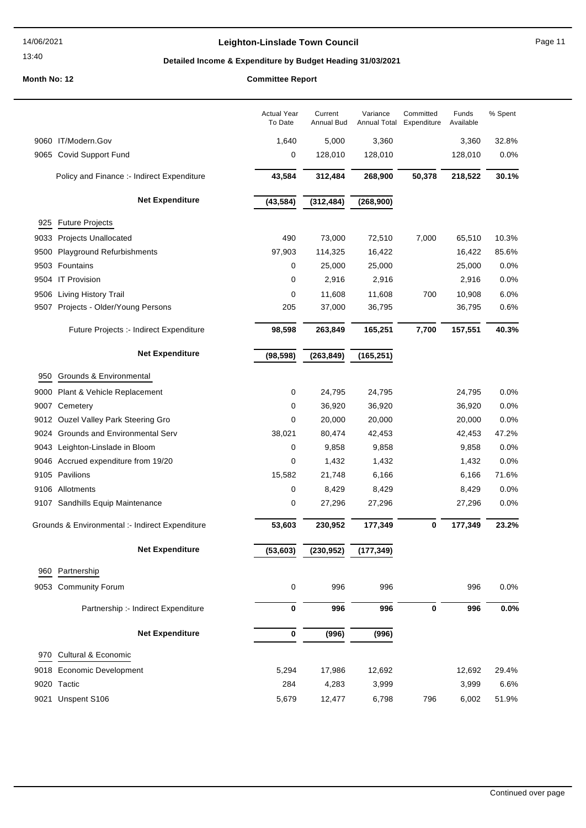### Leighton-Linslade Town Council **Example 20 and Separate 20 and Page 11**

### **Detailed Income & Expenditure by Budget Heading 31/03/2021**

|      |                                                 | <b>Actual Year</b><br>To Date | Current<br>Annual Bud | Variance<br><b>Annual Total</b> | Committed<br>Expenditure | Funds<br>Available | % Spent |
|------|-------------------------------------------------|-------------------------------|-----------------------|---------------------------------|--------------------------|--------------------|---------|
|      | 9060 IT/Modern.Gov                              | 1,640                         | 5,000                 | 3,360                           |                          | 3,360              | 32.8%   |
|      | 9065 Covid Support Fund                         | 0                             | 128,010               | 128,010                         |                          | 128,010            | 0.0%    |
|      | Policy and Finance :- Indirect Expenditure      | 43,584                        | 312,484               | 268,900                         | 50,378                   | 218,522            | 30.1%   |
|      | <b>Net Expenditure</b>                          | (43, 584)                     | (312, 484)            | (268, 900)                      |                          |                    |         |
| 925  | <b>Future Projects</b>                          |                               |                       |                                 |                          |                    |         |
| 9033 | Projects Unallocated                            | 490                           | 73,000                | 72,510                          | 7,000                    | 65,510             | 10.3%   |
| 9500 | <b>Playground Refurbishments</b>                | 97,903                        | 114,325               | 16,422                          |                          | 16,422             | 85.6%   |
| 9503 | Fountains                                       | 0                             | 25,000                | 25,000                          |                          | 25,000             | 0.0%    |
| 9504 | <b>IT Provision</b>                             | 0                             | 2,916                 | 2,916                           |                          | 2,916              | 0.0%    |
| 9506 | Living History Trail                            | 0                             | 11,608                | 11,608                          | 700                      | 10,908             | 6.0%    |
| 9507 | Projects - Older/Young Persons                  | 205                           | 37,000                | 36,795                          |                          | 36,795             | 0.6%    |
|      | Future Projects :- Indirect Expenditure         | 98,598                        | 263,849               | 165,251                         | 7,700                    | 157,551            | 40.3%   |
|      | <b>Net Expenditure</b>                          | (98, 598)                     | (263, 849)            | (165, 251)                      |                          |                    |         |
| 950  | Grounds & Environmental                         |                               |                       |                                 |                          |                    |         |
| 9000 | Plant & Vehicle Replacement                     | 0                             | 24,795                | 24,795                          |                          | 24,795             | 0.0%    |
|      | 9007 Cemetery                                   | 0                             | 36,920                | 36,920                          |                          | 36,920             | 0.0%    |
|      | 9012 Ouzel Valley Park Steering Gro             | 0                             | 20,000                | 20,000                          |                          | 20,000             | 0.0%    |
| 9024 | <b>Grounds and Environmental Serv</b>           | 38,021                        | 80,474                | 42,453                          |                          | 42,453             | 47.2%   |
| 9043 | Leighton-Linslade in Bloom                      | 0                             | 9,858                 | 9,858                           |                          | 9,858              | 0.0%    |
| 9046 | Accrued expenditure from 19/20                  | 0                             | 1,432                 | 1,432                           |                          | 1,432              | 0.0%    |
|      | 9105 Pavilions                                  | 15,582                        | 21,748                | 6,166                           |                          | 6,166              | 71.6%   |
|      | 9106 Allotments                                 | 0                             | 8,429                 | 8,429                           |                          | 8,429              | 0.0%    |
|      | 9107 Sandhills Equip Maintenance                | 0                             | 27,296                | 27,296                          |                          | 27,296             | 0.0%    |
|      | Grounds & Environmental :- Indirect Expenditure | 53,603                        | 230,952               | 177,349                         | 0                        | 177,349            | 23.2%   |
|      | <b>Net Expenditure</b>                          | (53,603)                      | (230, 952)            | (177, 349)                      |                          |                    |         |
| 960  | Partnership                                     |                               |                       |                                 |                          |                    |         |
| 9053 | <b>Community Forum</b>                          | 0                             | 996                   | 996                             |                          | 996                | 0.0%    |
|      | Partnership :- Indirect Expenditure             | $\pmb{0}$                     | 996                   | 996                             | $\pmb{0}$                | 996                | 0.0%    |
|      | <b>Net Expenditure</b>                          | 0                             | (996)                 | (996)                           |                          |                    |         |
| 970  | Cultural & Economic                             |                               |                       |                                 |                          |                    |         |
| 9018 | <b>Economic Development</b>                     | 5,294                         | 17,986                | 12,692                          |                          | 12,692             | 29.4%   |
|      | 9020 Tactic                                     | 284                           | 4,283                 | 3,999                           |                          | 3,999              | 6.6%    |
|      | 9021 Unspent S106                               | 5,679                         | 12,477                | 6,798                           | 796                      | 6,002              | 51.9%   |
|      |                                                 |                               |                       |                                 |                          |                    |         |